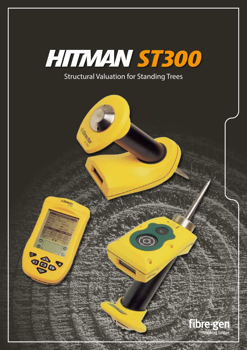

Obtacto fibre-gen thinking timber